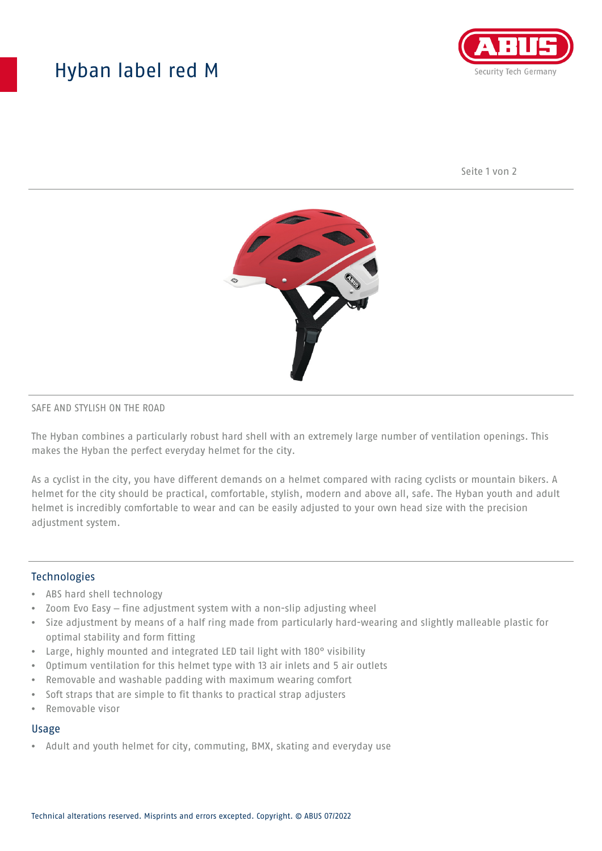## Hyban label red M



Seite 1 von 2



### SAFE AND STYLISH ON THE ROAD

The Hyban combines a particularly robust hard shell with an extremely large number of ventilation openings. This makes the Hyban the perfect everyday helmet for the city.

As a cyclist in the city, you have different demands on a helmet compared with racing cyclists or mountain bikers. A helmet for the city should be practical, comfortable, stylish, modern and above all, safe. The Hyban youth and adult helmet is incredibly comfortable to wear and can be easily adjusted to your own head size with the precision adjustment system.

## Technologies

- ABS hard shell technology
- Zoom Evo Easy fine adjustment system with a non-slip adjusting wheel
- Size adjustment by means of a half ring made from particularly hard-wearing and slightly malleable plastic for optimal stability and form fitting
- Large, highly mounted and integrated LED tail light with 180° visibility
- Optimum ventilation for this helmet type with 13 air inlets and 5 air outlets
- Removable and washable padding with maximum wearing comfort
- Soft straps that are simple to fit thanks to practical strap adjusters
- Removable visor

### Usage

• Adult and youth helmet for city, commuting, BMX, skating and everyday use